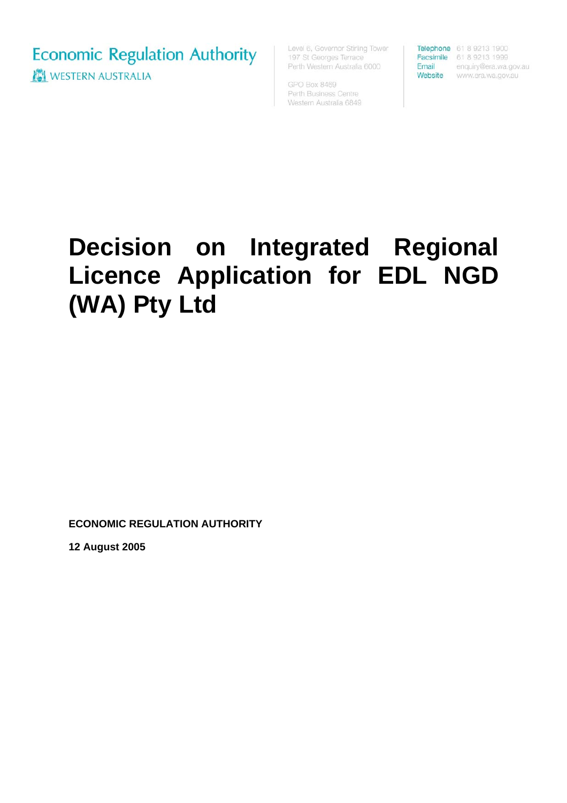**Economic Regulation Authority NEW WESTERN AUSTRALIA** 

Level 6, Governor Stirling Tower 197 St Georges Terrace Perth Western Australia 6000

GPO Box 8469 Perth Business Centre Western Australia 6849

Telephone 61 8 9213 1900 Facsimile 61 8 9213 1999

Email enquiry@era.wa.gov.au Website www.era.wa.gov.au

## **Decision on Integrated Regional Licence Application for EDL NGD (WA) Pty Ltd**

**ECONOMIC REGULATION AUTHORITY** 

**12 August 2005**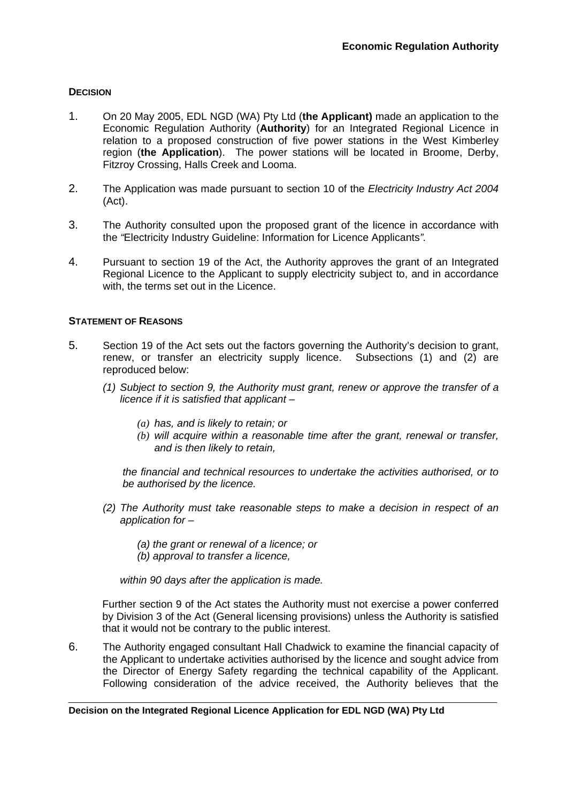## **DECISION**

- 1. On 20 May 2005, EDL NGD (WA) Pty Ltd (**the Applicant)** made an application to the Economic Regulation Authority (**Authority**) for an Integrated Regional Licence in relation to a proposed construction of five power stations in the West Kimberley region (**the Application**). The power stations will be located in Broome, Derby, Fitzroy Crossing, Halls Creek and Looma.
- 2. The Application was made pursuant to section 10 of the *Electricity Industry Act 2004* (Act).
- 3. The Authority consulted upon the proposed grant of the licence in accordance with the *"*Electricity Industry Guideline: Information for Licence Applicants*".*
- 4. Pursuant to section 19 of the Act, the Authority approves the grant of an Integrated Regional Licence to the Applicant to supply electricity subject to, and in accordance with, the terms set out in the Licence.

## **STATEMENT OF REASONS**

- 5. Section 19 of the Act sets out the factors governing the Authority's decision to grant, renew, or transfer an electricity supply licence. Subsections (1) and (2) are reproduced below:
	- *(1) Subject to section 9, the Authority must grant, renew or approve the transfer of a licence if it is satisfied that applicant –* 
		- *(a) has, and is likely to retain; or*
		- *(b) will acquire within a reasonable time after the grant, renewal or transfer, and is then likely to retain,*

*the financial and technical resources to undertake the activities authorised, or to be authorised by the licence.* 

- *(2) The Authority must take reasonable steps to make a decision in respect of an application for –* 
	- *(a) the grant or renewal of a licence; or*
	- *(b) approval to transfer a licence,*

*within 90 days after the application is made.* 

Further section 9 of the Act states the Authority must not exercise a power conferred by Division 3 of the Act (General licensing provisions) unless the Authority is satisfied that it would not be contrary to the public interest.

6. The Authority engaged consultant Hall Chadwick to examine the financial capacity of the Applicant to undertake activities authorised by the licence and sought advice from the Director of Energy Safety regarding the technical capability of the Applicant. Following consideration of the advice received, the Authority believes that the